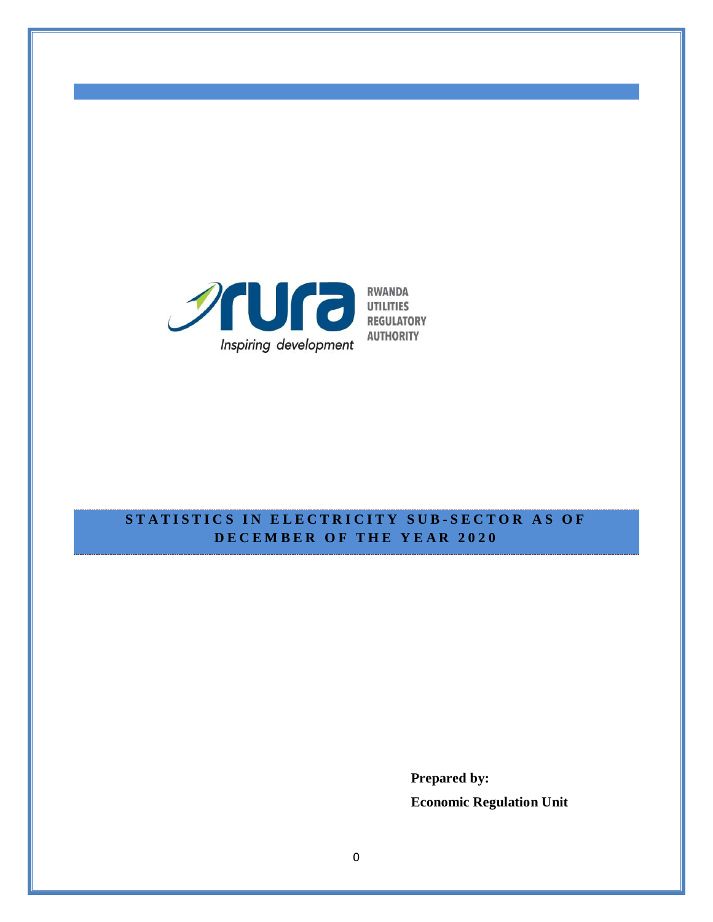

# **STATISTICS IN ELECTRICITY SUB-SECTOR AS OF D E C E M B E R O F T H E Y E A R 2 0 2 0**

**Prepared by: Economic Regulation Unit**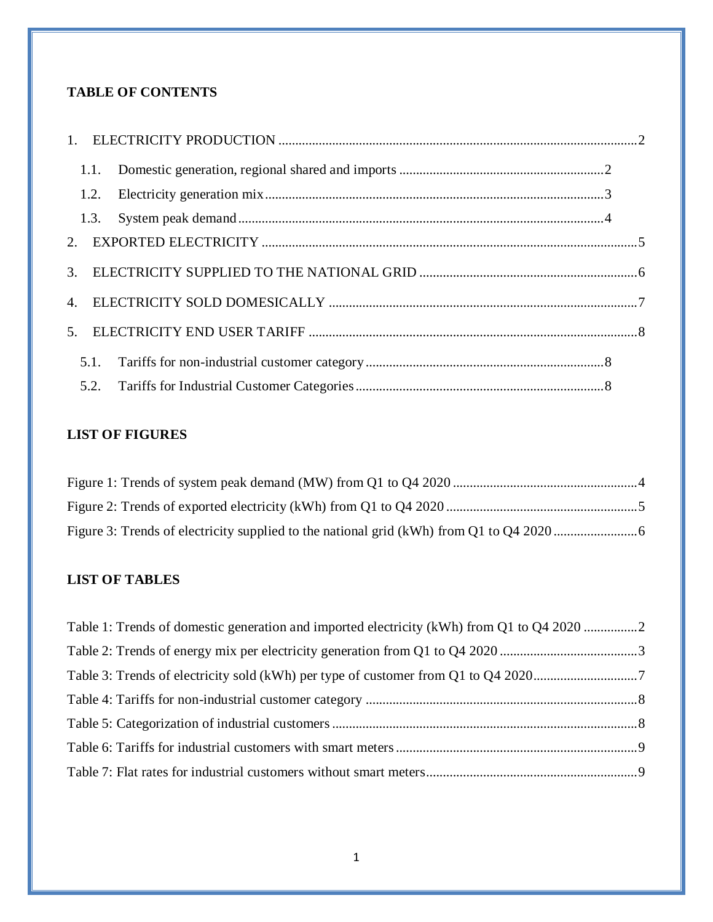# **TABLE OF CONTENTS**

|                | 1.1. |  |
|----------------|------|--|
|                | 1.2. |  |
|                | 1.3. |  |
|                |      |  |
|                |      |  |
|                |      |  |
| 5 <sub>1</sub> |      |  |
|                | 5.1. |  |
|                |      |  |

## **LIST OF FIGURES**

# **LIST OF TABLES**

| Table 1: Trends of domestic generation and imported electricity (kWh) from Q1 to Q4 2020 2 |  |
|--------------------------------------------------------------------------------------------|--|
|                                                                                            |  |
|                                                                                            |  |
|                                                                                            |  |
|                                                                                            |  |
|                                                                                            |  |
|                                                                                            |  |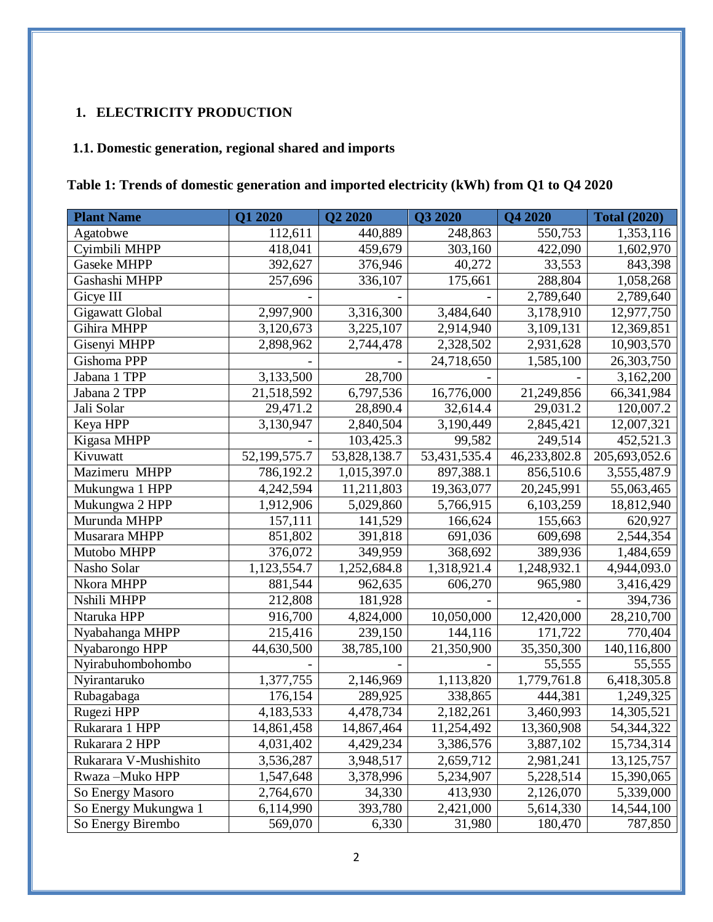# <span id="page-2-0"></span>**1. ELECTRICITY PRODUCTION**

## <span id="page-2-1"></span>**1.1. Domestic generation, regional shared and imports**

# <span id="page-2-2"></span>**Table 1: Trends of domestic generation and imported electricity (kWh) from Q1 to Q4 2020**

| <b>Plant Name</b>     | Q1 2020      | Q2 2020      | Q3 2020      | Q4 2020      | <b>Total (2020)</b> |
|-----------------------|--------------|--------------|--------------|--------------|---------------------|
| Agatobwe              | 112,611      | 440,889      | 248,863      | 550,753      | 1,353,116           |
| Cyimbili MHPP         | 418,041      | 459,679      | 303,160      | 422,090      | 1,602,970           |
| <b>Gaseke MHPP</b>    | 392,627      | 376,946      | 40,272       | 33,553       | 843,398             |
| Gashashi MHPP         | 257,696      | 336,107      | 175,661      | 288,804      | 1,058,268           |
| Gicye III             |              |              |              | 2,789,640    | 2,789,640           |
| Gigawatt Global       | 2,997,900    | 3,316,300    | 3,484,640    | 3,178,910    | 12,977,750          |
| Gihira MHPP           | 3,120,673    | 3,225,107    | 2,914,940    | 3,109,131    | 12,369,851          |
| Gisenyi MHPP          | 2,898,962    | 2,744,478    | 2,328,502    | 2,931,628    | 10,903,570          |
| Gishoma PPP           |              |              | 24,718,650   | 1,585,100    | 26,303,750          |
| Jabana 1 TPP          | 3,133,500    | 28,700       |              |              | 3,162,200           |
| Jabana 2 TPP          | 21,518,592   | 6,797,536    | 16,776,000   | 21,249,856   | 66,341,984          |
| Jali Solar            | 29,471.2     | 28,890.4     | 32,614.4     | 29,031.2     | 120,007.2           |
| Keya HPP              | 3,130,947    | 2,840,504    | 3,190,449    | 2,845,421    | 12,007,321          |
| Kigasa MHPP           |              | 103,425.3    | 99,582       | 249,514      | 452,521.3           |
| Kivuwatt              | 52,199,575.7 | 53,828,138.7 | 53,431,535.4 | 46,233,802.8 | 205,693,052.6       |
| Mazimeru MHPP         | 786,192.2    | 1,015,397.0  | 897,388.1    | 856,510.6    | 3,555,487.9         |
| Mukungwa 1 HPP        | 4,242,594    | 11,211,803   | 19,363,077   | 20,245,991   | 55,063,465          |
| Mukungwa 2 HPP        | 1,912,906    | 5,029,860    | 5,766,915    | 6,103,259    | 18,812,940          |
| Murunda MHPP          | 157,111      | 141,529      | 166,624      | 155,663      | 620,927             |
| Musarara MHPP         | 851,802      | 391,818      | 691,036      | 609,698      | 2,544,354           |
| Mutobo MHPP           | 376,072      | 349,959      | 368,692      | 389,936      | 1,484,659           |
| Nasho Solar           | 1,123,554.7  | 1,252,684.8  | 1,318,921.4  | 1,248,932.1  | 4,944,093.0         |
| Nkora MHPP            | 881,544      | 962,635      | 606,270      | 965,980      | 3,416,429           |
| Nshili MHPP           | 212,808      | 181,928      |              |              | 394,736             |
| Ntaruka HPP           | 916,700      | 4,824,000    | 10,050,000   | 12,420,000   | 28,210,700          |
| Nyabahanga MHPP       | 215,416      | 239,150      | 144,116      | 171,722      | 770,404             |
| Nyabarongo HPP        | 44,630,500   | 38,785,100   | 21,350,900   | 35,350,300   | 140,116,800         |
| Nyirabuhombohombo     |              |              |              | 55,555       | 55,555              |
| Nyirantaruko          | 1,377,755    | 2,146,969    | 1,113,820    | 1,779,761.8  | 6,418,305.8         |
| Rubagabaga            | 176,154      | 289,925      | 338,865      | 444,381      | 1,249,325           |
| Rugezi HPP            | 4,183,533    | 4,478,734    | 2,182,261    | 3,460,993    | 14,305,521          |
| Rukarara 1 HPP        | 14,861,458   | 14,867,464   | 11,254,492   | 13,360,908   | 54,344,322          |
| Rukarara 2 HPP        | 4,031,402    | 4,429,234    | 3,386,576    | 3,887,102    | 15,734,314          |
| Rukarara V-Mushishito | 3,536,287    | 3,948,517    | 2,659,712    | 2,981,241    | 13, 125, 757        |
| Rwaza-Muko HPP        | 1,547,648    | 3,378,996    | 5,234,907    | 5,228,514    | 15,390,065          |
| So Energy Masoro      | 2,764,670    | 34,330       | 413,930      | 2,126,070    | 5,339,000           |
| So Energy Mukungwa 1  | 6,114,990    | 393,780      | 2,421,000    | 5,614,330    | 14,544,100          |
| So Energy Birembo     | 569,070      | 6,330        | 31,980       | 180,470      | 787,850             |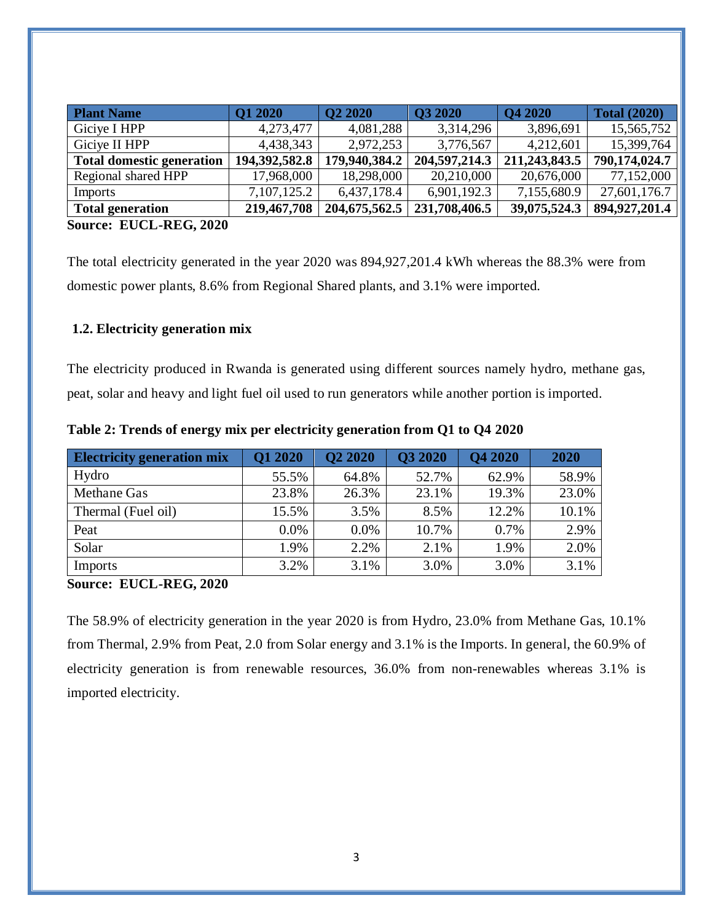| <b>Plant Name</b>                     | <b>Q1 2020</b> | Q2 2020          | <b>O3 2020</b> | Q4 2020       | <b>Total (2020)</b> |
|---------------------------------------|----------------|------------------|----------------|---------------|---------------------|
| Giciye I HPP                          | 4,273,477      | 4,081,288        | 3,314,296      | 3,896,691     | 15,565,752          |
| Giciye II HPP                         | 4,438,343      | 2,972,253        | 3,776,567      | 4,212,601     | 15,399,764          |
| <b>Total domestic generation</b>      | 194,392,582.8  | 179,940,384.2    | 204,597,214.3  | 211,243,843.5 | 790,174,024.7       |
| Regional shared HPP                   | 17,968,000     | 18,298,000       | 20,210,000     | 20,676,000    | 77,152,000          |
| Imports                               | 7,107,125.2    | 6,437,178.4      | 6,901,192.3    | 7,155,680.9   | 27,601,176.7        |
| <b>Total generation</b>               | 219,467,708    | 204, 675, 562. 5 | 231,708,406.5  | 39,075,524.3  | 894,927,201.4       |
| $C_{\alpha\text{max}}$ FILCI DEC 2020 |                |                  |                |               |                     |

**Source: EUCL-REG, 2020**

The total electricity generated in the year 2020 was 894,927,201.4 kWh whereas the 88.3% were from domestic power plants, 8.6% from Regional Shared plants, and 3.1% were imported.

#### <span id="page-3-0"></span>**1.2. Electricity generation mix**

The electricity produced in Rwanda is generated using different sources namely hydro, methane gas, peat, solar and heavy and light fuel oil used to run generators while another portion is imported.

| <b>Electricity generation mix</b> | <b>Q1 2020</b> | <b>Q2 2020</b> | <b>Q3 2020</b> | Q4 2020 | 2020  |
|-----------------------------------|----------------|----------------|----------------|---------|-------|
| Hydro                             | 55.5%          | 64.8%          | 52.7%          | 62.9%   | 58.9% |
| Methane Gas                       | 23.8%          | 26.3%          | 23.1%          | 19.3%   | 23.0% |
| Thermal (Fuel oil)                | 15.5%          | 3.5%           | 8.5%           | 12.2%   | 10.1% |
| Peat                              | $0.0\%$        | $0.0\%$        | 10.7%          | 0.7%    | 2.9%  |
| Solar                             | 1.9%           | 2.2%           | 2.1%           | 1.9%    | 2.0%  |
| Imports                           | 3.2%           | 3.1%           | 3.0%           | 3.0%    | 3.1%  |

<span id="page-3-1"></span>**Table 2: Trends of energy mix per electricity generation from Q1 to Q4 2020**

**Source: EUCL-REG, 2020**

The 58.9% of electricity generation in the year 2020 is from Hydro, 23.0% from Methane Gas, 10.1% from Thermal, 2.9% from Peat, 2.0 from Solar energy and 3.1% is the Imports. In general, the 60.9% of electricity generation is from renewable resources, 36.0% from non-renewables whereas 3.1% is imported electricity.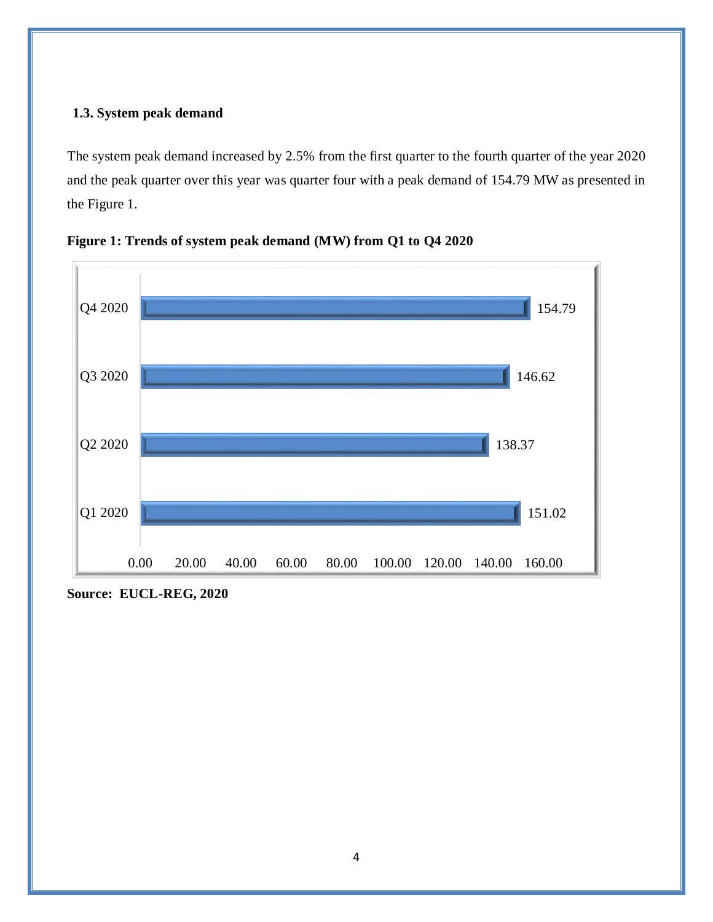### <span id="page-4-0"></span>**1.3. System peak demand**

The system peak demand increased by 2.5% from the first quarter to the fourth quarter of the year 2020 and the peak quarter over this year was quarter four with a peak demand of 154.79 MW as presented in the Figure 1.



<span id="page-4-1"></span>**Figure 1: Trends of system peak demand (MW) from Q1 to Q4 2020**

**Source: EUCL-REG, 2020**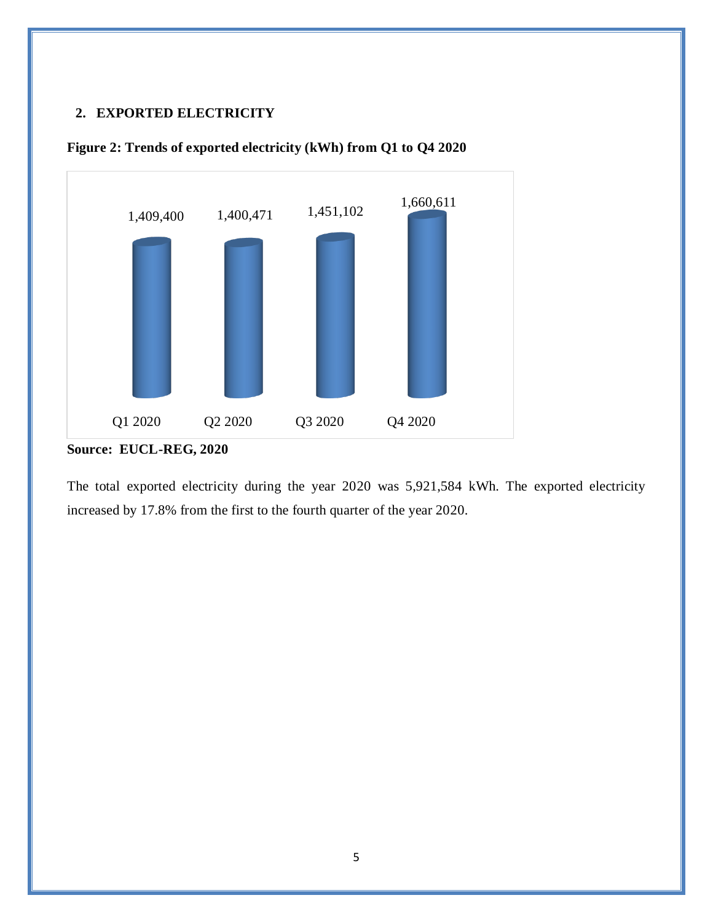#### <span id="page-5-0"></span>**2. EXPORTED ELECTRICITY**



<span id="page-5-1"></span>

The total exported electricity during the year 2020 was 5,921,584 kWh. The exported electricity increased by 17.8% from the first to the fourth quarter of the year 2020.

**Source: EUCL-REG, 2020**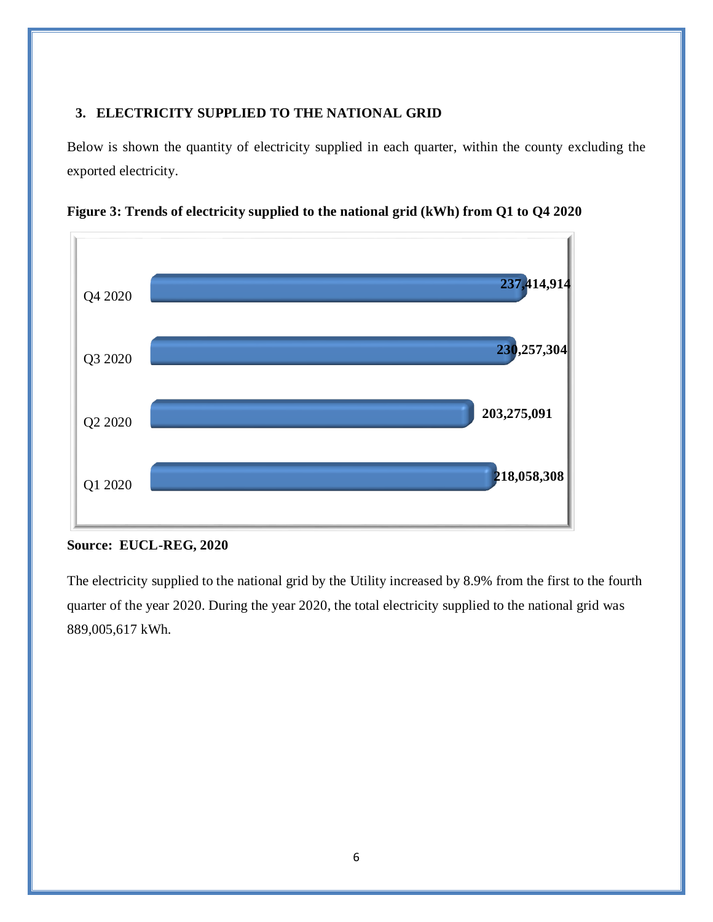### <span id="page-6-0"></span>**3. ELECTRICITY SUPPLIED TO THE NATIONAL GRID**

Below is shown the quantity of electricity supplied in each quarter, within the county excluding the exported electricity.



<span id="page-6-1"></span>**Figure 3: Trends of electricity supplied to the national grid (kWh) from Q1 to Q4 2020**

#### **Source: EUCL-REG, 2020**

The electricity supplied to the national grid by the Utility increased by 8.9% from the first to the fourth quarter of the year 2020. During the year 2020, the total electricity supplied to the national grid was 889,005,617 kWh.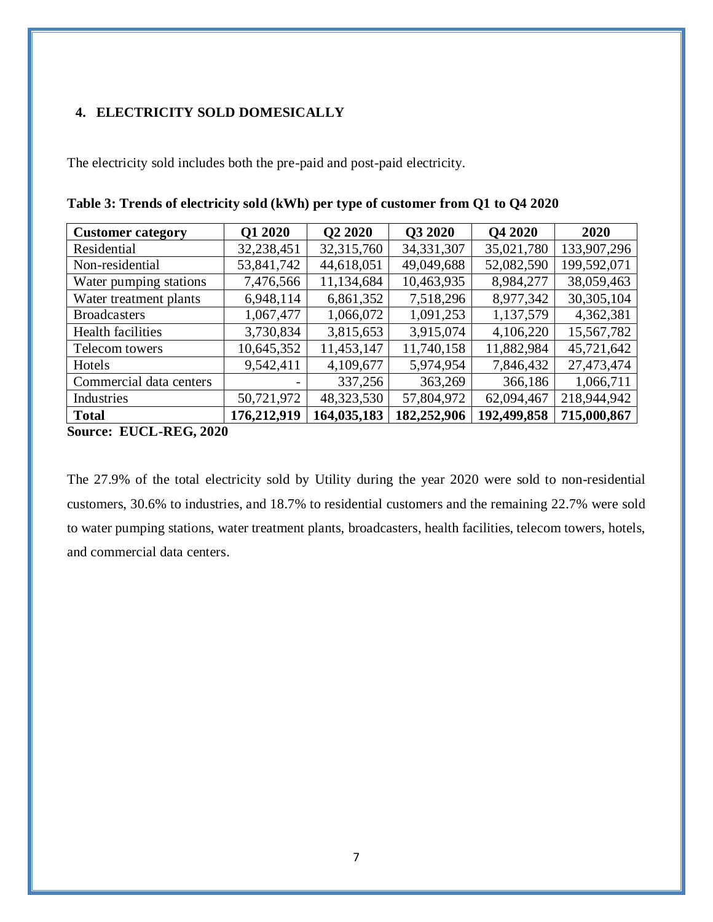### <span id="page-7-0"></span>**4. ELECTRICITY SOLD DOMESICALLY**

The electricity sold includes both the pre-paid and post-paid electricity.

| <b>Customer category</b>                                       | Q1 2020     | <b>O2 2020</b> | Q3 2020      | <b>O4 2020</b> | 2020        |
|----------------------------------------------------------------|-------------|----------------|--------------|----------------|-------------|
| Residential                                                    | 32,238,451  | 32,315,760     | 34, 331, 307 | 35,021,780     | 133,907,296 |
| Non-residential                                                | 53,841,742  | 44,618,051     | 49,049,688   | 52,082,590     | 199,592,071 |
| Water pumping stations                                         | 7,476,566   | 11,134,684     | 10,463,935   | 8,984,277      | 38,059,463  |
| Water treatment plants                                         | 6,948,114   | 6,861,352      | 7,518,296    | 8,977,342      | 30,305,104  |
| <b>Broadcasters</b>                                            | 1,067,477   | 1,066,072      | 1,091,253    | 1,137,579      | 4,362,381   |
| Health facilities                                              | 3,730,834   | 3,815,653      | 3,915,074    | 4,106,220      | 15,567,782  |
| Telecom towers                                                 | 10,645,352  | 11,453,147     | 11,740,158   | 11,882,984     | 45,721,642  |
| Hotels                                                         | 9,542,411   | 4,109,677      | 5,974,954    | 7,846,432      | 27,473,474  |
| Commercial data centers                                        |             | 337,256        | 363,269      | 366,186        | 1,066,711   |
| Industries                                                     | 50,721,972  | 48,323,530     | 57,804,972   | 62,094,467     | 218,944,942 |
| <b>Total</b><br><b>ELIAL</b><br><b>DEA</b><br>000A<br>$\Omega$ | 176,212,919 | 164,035,183    | 182,252,906  | 192,499,858    | 715,000,867 |

<span id="page-7-1"></span>**Table 3: Trends of electricity sold (kWh) per type of customer from Q1 to Q4 2020**

**Source: EUCL-REG, 2020**

The 27.9% of the total electricity sold by Utility during the year 2020 were sold to non-residential customers, 30.6% to industries, and 18.7% to residential customers and the remaining 22.7% were sold to water pumping stations, water treatment plants, broadcasters, health facilities, telecom towers, hotels, and commercial data centers.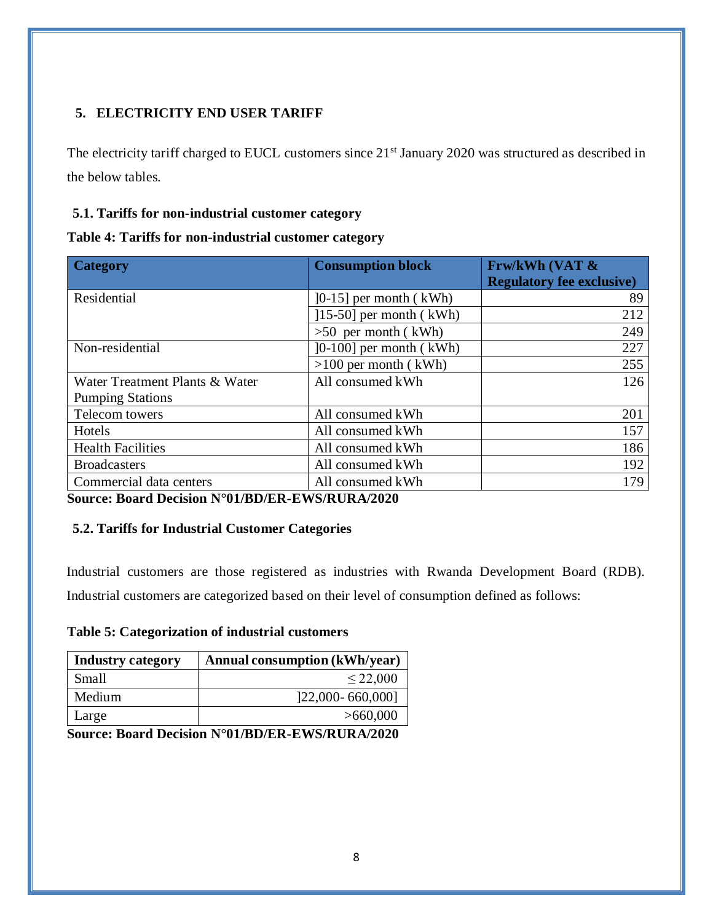# <span id="page-8-0"></span>**5. ELECTRICITY END USER TARIFF**

The electricity tariff charged to EUCL customers since 21<sup>st</sup> January 2020 was structured as described in the below tables.

### <span id="page-8-1"></span>**5.1. Tariffs for non-industrial customer category**

<span id="page-8-3"></span>

|  |  |  | Table 4: Tariffs for non-industrial customer category |
|--|--|--|-------------------------------------------------------|
|--|--|--|-------------------------------------------------------|

| <b>Category</b>                                                     | <b>Consumption block</b>  | <b>FrwkWh (VAT &amp;</b><br><b>Regulatory fee exclusive)</b> |
|---------------------------------------------------------------------|---------------------------|--------------------------------------------------------------|
| Residential                                                         | $[0-15]$ per month (kWh)  | 89                                                           |
|                                                                     | $[15-50]$ per month (kWh) | 212                                                          |
|                                                                     | $>50$ per month (kWh)     | 249                                                          |
| Non-residential                                                     | $[0-100]$ per month (kWh) | 227                                                          |
|                                                                     | $>100$ per month (kWh)    | 255                                                          |
| Water Treatment Plants & Water                                      | All consumed kWh          | 126                                                          |
| <b>Pumping Stations</b>                                             |                           |                                                              |
| Telecom towers                                                      | All consumed kWh          | 201                                                          |
| Hotels                                                              | All consumed kWh          | 157                                                          |
| <b>Health Facilities</b>                                            | All consumed kWh          | 186                                                          |
| <b>Broadcasters</b>                                                 | All consumed kWh          | 192                                                          |
| Commercial data centers<br>In II 12004 FOR FIRE TITLE IN THE LIGAGE | All consumed kWh          | 179                                                          |

**Source: Board Decision N°01/BD/ER-EWS/RURA/2020**

### <span id="page-8-2"></span>**5.2. Tariffs for Industrial Customer Categories**

Industrial customers are those registered as industries with Rwanda Development Board (RDB). Industrial customers are categorized based on their level of consumption defined as follows:

### <span id="page-8-4"></span>**Table 5: Categorization of industrial customers**

| <b>Industry category</b> | <b>Annual consumption (kWh/year)</b> |
|--------------------------|--------------------------------------|
| Small                    | $\leq$ 22,000                        |
| Medium                   | [22,000-660,000]                     |
| Large                    | >660,000                             |

**Source: Board Decision N°01/BD/ER-EWS/RURA/2020**